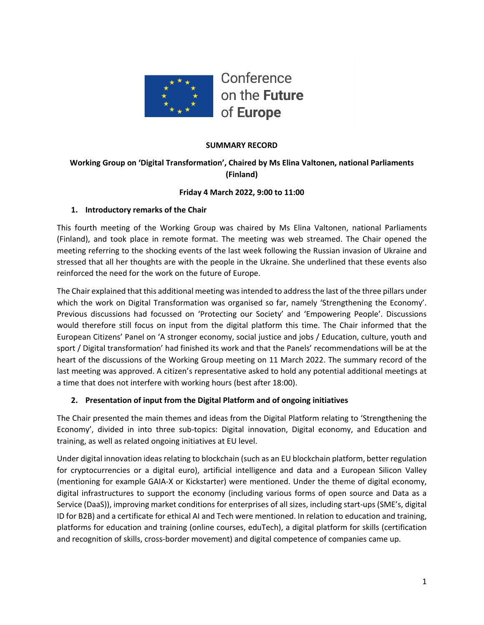

#### **SUMMARY RECORD**

# **Working Group on 'Digital Transformation', Chaired by Ms Elina Valtonen, national Parliaments (Finland)**

#### **Friday 4 March 2022, 9:00 to 11:00**

#### **1. Introductory remarks of the Chair**

This fourth meeting of the Working Group was chaired by Ms Elina Valtonen, national Parliaments (Finland), and took place in remote format. The meeting was web streamed. The Chair opened the meeting referring to the shocking events of the last week following the Russian invasion of Ukraine and stressed that all her thoughts are with the people in the Ukraine. She underlined that these events also reinforced the need for the work on the future of Europe.

The Chair explained that this additional meeting was intended to address the last of the three pillars under which the work on Digital Transformation was organised so far, namely 'Strengthening the Economy'. Previous discussions had focussed on 'Protecting our Society' and 'Empowering People'. Discussions would therefore still focus on input from the digital platform this time. The Chair informed that the European Citizens' Panel on 'A stronger economy, social justice and jobs / Education, culture, youth and sport / Digital transformation' had finished its work and that the Panels' recommendations will be at the heart of the discussions of the Working Group meeting on 11 March 2022. The summary record of the last meeting was approved. A citizen's representative asked to hold any potential additional meetings at a time that does not interfere with working hours (best after 18:00).

### **2. Presentation of input from the Digital Platform and of ongoing initiatives**

The Chair presented the main themes and ideas from the Digital Platform relating to 'Strengthening the Economy', divided in into three sub-topics: Digital innovation, Digital economy, and Education and training, as well as related ongoing initiatives at EU level.

Under digital innovation ideas relating to blockchain (such as an EU blockchain platform, better regulation for cryptocurrencies or a digital euro), artificial intelligence and data and a European Silicon Valley (mentioning for example GAIA-X or Kickstarter) were mentioned. Under the theme of digital economy, digital infrastructures to support the economy (including various forms of open source and Data as a Service (DaaS)), improving market conditions for enterprises of all sizes, including start-ups (SME's, digital ID for B2B) and a certificate for ethical AI and Tech were mentioned. In relation to education and training, platforms for education and training (online courses, eduTech), a digital platform for skills (certification and recognition of skills, cross-border movement) and digital competence of companies came up.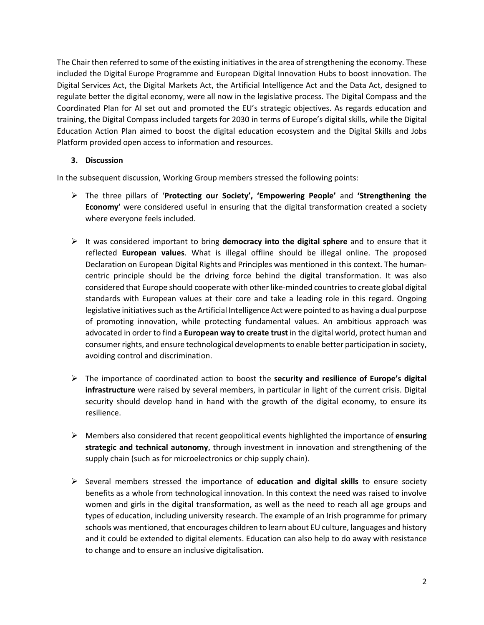The Chair then referred to some of the existing initiatives in the area of strengthening the economy. These included the Digital Europe Programme and European Digital Innovation Hubs to boost innovation. The Digital Services Act, the Digital Markets Act, the Artificial Intelligence Act and the Data Act, designed to regulate better the digital economy, were all now in the legislative process. The Digital Compass and the Coordinated Plan for AI set out and promoted the EU's strategic objectives. As regards education and training, the Digital Compass included targets for 2030 in terms of Europe's digital skills, while the Digital Education Action Plan aimed to boost the digital education ecosystem and the Digital Skills and Jobs Platform provided open access to information and resources.

#### **3. Discussion**

In the subsequent discussion, Working Group members stressed the following points:

- Ø The three pillars of '**Protecting our Society', 'Empowering People'** and **'Strengthening the Economy'** were considered useful in ensuring that the digital transformation created a society where everyone feels included.
- $\triangleright$  It was considered important to bring **democracy into the digital sphere** and to ensure that it reflected **European values**. What is illegal offline should be illegal online. The proposed Declaration on European Digital Rights and Principles was mentioned in this context. The humancentric principle should be the driving force behind the digital transformation. It was also considered that Europe should cooperate with other like-minded countries to create global digital standards with European values at their core and take a leading role in this regard. Ongoing legislative initiatives such as the Artificial Intelligence Act were pointed to as having a dual purpose of promoting innovation, while protecting fundamental values. An ambitious approach was advocated in order to find a **European way to create trust** in the digital world, protect human and consumer rights, and ensure technological developments to enable better participation in society, avoiding control and discrimination.
- Ø The importance of coordinated action to boost the **security and resilience of Europe's digital infrastructure** were raised by several members, in particular in light of the current crisis. Digital security should develop hand in hand with the growth of the digital economy, to ensure its resilience.
- Ø Members also considered that recent geopolitical events highlighted the importance of **ensuring strategic and technical autonomy**, through investment in innovation and strengthening of the supply chain (such as for microelectronics or chip supply chain).
- $\triangleright$  Several members stressed the importance of **education and digital skills** to ensure society benefits as a whole from technological innovation. In this context the need was raised to involve women and girls in the digital transformation, as well as the need to reach all age groups and types of education, including university research. The example of an Irish programme for primary schools was mentioned, that encourages children to learn about EU culture, languages and history and it could be extended to digital elements. Education can also help to do away with resistance to change and to ensure an inclusive digitalisation.